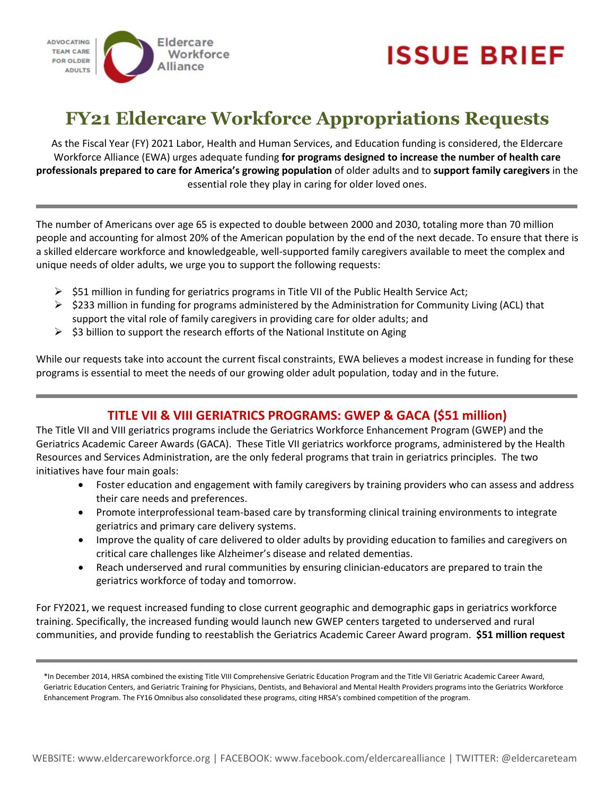



# **FY21 Eldercare Workforce Appropriations Requests**

As the Fiscal Year (FY) 2021 Labor, Health and Human Services, and Education funding is considered, the Eldercare Workforce Alliance (EWA) urges adequate funding **for programs designed to increase the number of health care professionals prepared to care for America's growing population** of older adults and to **support family caregivers** in the essential role they play in caring for older loved ones.

The number of Americans over age 65 is expected to double between 2000 and 2030, totaling more than 70 million people and accounting for almost 20% of the American population by the end of the next decade. To ensure that there is a skilled eldercare workforce and knowledgeable, well-supported family caregivers available to meet the complex and unique needs of older adults, we urge you to support the following requests:

- $\triangleright$  \$51 million in funding for geriatrics programs in Title VII of the Public Health Service Act;
- $\triangleright$  \$233 million in funding for programs administered by the Administration for Community Living (ACL) that support the vital role of family caregivers in providing care for older adults; and
- $\triangleright$  \$3 billion to support the research efforts of the National Institute on Aging

While our requests take into account the current fiscal constraints, EWA believes a modest increase in funding for these programs is essential to meet the needs of our growing older adult population, today and in the future.

## **TITLE VII & VIII GERIATRICS PROGRAMS: GWEP & GACA (\$51 million)**

The Title VII and VIII geriatrics programs include the Geriatrics Workforce Enhancement Program (GWEP) and the Geriatrics Academic Career Awards (GACA). These Title VII geriatrics workforce programs, administered by the Health Resources and Services Administration, are the only federal programs that train in geriatrics principles. The two initiatives have four main goals:

- Foster education and engagement with family caregivers by training providers who can assess and address their care needs and preferences.
- Promote interprofessional team-based care by transforming clinical training environments to integrate geriatrics and primary care delivery systems.
- Improve the quality of care delivered to older adults by providing education to families and caregivers on critical care challenges like Alzheimer's disease and related dementias.
- Reach underserved and rural communities by ensuring clinician-educators are prepared to train the geriatrics workforce of today and tomorrow.

For FY2021, we request increased funding to close current geographic and demographic gaps in geriatrics workforce training. Specifically, the increased funding would launch new GWEP centers targeted to underserved and rural communities, and provide funding to reestablish the Geriatrics Academic Career Award program. **\$51 million request**

<sup>\*</sup>In December 2014, HRSA combined the existing Title VIII Comprehensive Geriatric Education Program and the Title VII Geriatric Academic Career Award, Geriatric Education Centers, and Geriatric Training for Physicians, Dentists, and Behavioral and Mental Health Providers programs into the Geriatrics Workforce Enhancement Program. The FY16 Omnibus also consolidated these programs, citing HRSA's combined competition of the program.